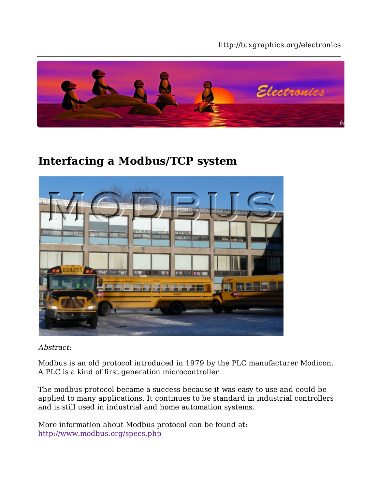#### http://tuxgraphics.org/electronics



## **Interfacing a Modbus/TCP system**



Abstract:

Modbus is an old protocol introduced in 1979 by the PLC manufacturer Modicon. A PLC is a kind of first generation microcontroller.

The modbus protocol became a success because it was easy to use and could be applied to many applications. It continues to be standard in industrial controllers and is still used in industrial and home automation systems.

More information about Modbus protocol can be found at: http://www.modbus.org/specs.php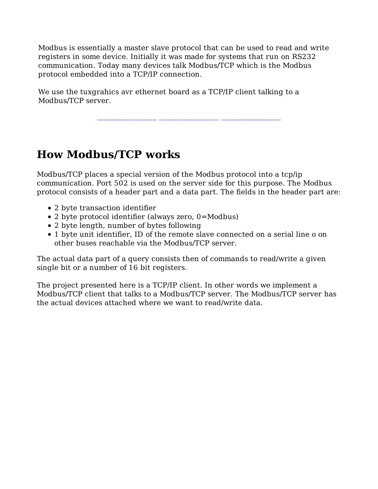Modbus is essentially a master slave protocol that can be used to read and write registers in some device. Initially it was made for systems that run on RS232 communication. Today many devices talk Modbus/TCP which is the Modbus protocol embedded into a TCP/IP connection.

We use the tuxgrahics avr ethernet board as a TCP/IP client talking to a Modbus/TCP server.

## **How Modbus/TCP works**

Modbus/TCP places a special version of the Modbus protocol into a tcp/ip communication. Port 502 is used on the server side for this purpose. The Modbus protocol consists of a header part and a data part. The fields in the header part are:

**\_\_\_\_\_\_\_\_\_\_\_\_\_\_\_\_\_ \_\_\_\_\_\_\_\_\_\_\_\_\_\_\_\_\_ \_\_\_\_\_\_\_\_\_\_\_\_\_\_\_\_\_**

- 2 byte transaction identifier
- 2 byte protocol identifier (always zero, 0=Modbus)
- 2 byte length, number of bytes following
- 1 byte unit identifier, ID of the remote slave connected on a serial line o on other buses reachable via the Modbus/TCP server.

The actual data part of a query consists then of commands to read/write a given single bit or a number of 16 bit registers.

The project presented here is a TCP/IP client. In other words we implement a Modbus/TCP client that talks to a Modbus/TCP server. The Modbus/TCP server has the actual devices attached where we want to read/write data.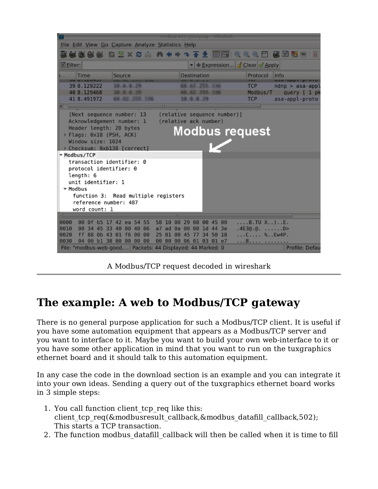|                                              |                                                   |                                     | modbus web good.pcap - Wireshark                               |                                              |  |  |  |
|----------------------------------------------|---------------------------------------------------|-------------------------------------|----------------------------------------------------------------|----------------------------------------------|--|--|--|
|                                              | File Edit View Go Capture Analyze Statistics Help |                                     |                                                                |                                              |  |  |  |
|                                              |                                                   |                                     | EELGGGEEXCA A + + + + + + + HERQQQ E                           | Œ<br>125 129                                 |  |  |  |
| <b>■Eilter:</b>                              |                                                   |                                     | ▼ + Expression Clear Apply                                     |                                              |  |  |  |
|                                              | Time<br><b>STEWART AND INCOME.</b>                | Source                              | Destination                                                    | Protocol<br>Info<br>usu-uppt-proto<br>$\sim$ |  |  |  |
|                                              | 39 8.129222                                       |                                     |                                                                | <b>TCP</b><br>$ndnp > asa-app1$              |  |  |  |
|                                              | 40 8.129468                                       |                                     |                                                                | Modbus/T<br>query [ 1 pk                     |  |  |  |
|                                              | 41 8.491972                                       |                                     | 10.0.0.29                                                      | <b>TCP</b><br>asa-appl-proto                 |  |  |  |
|                                              |                                                   |                                     | ш                                                              |                                              |  |  |  |
|                                              |                                                   | [Next sequence number: 13           | (relative sequence number)]                                    |                                              |  |  |  |
|                                              |                                                   | Acknowledgement number: 1           | (relative ack number)                                          |                                              |  |  |  |
|                                              | Header length: 20 bytes                           |                                     | <b>Modbus request</b>                                          |                                              |  |  |  |
|                                              | > Flags: 0x18 (PSH, ACK)<br>Window size: 1024     |                                     |                                                                |                                              |  |  |  |
|                                              |                                                   |                                     |                                                                |                                              |  |  |  |
| > Checksum: 0xb138 [correct]<br>▽ Modbus/TCP |                                                   |                                     |                                                                |                                              |  |  |  |
| transaction identifier: 0                    |                                                   |                                     |                                                                |                                              |  |  |  |
|                                              | protocol identifier: 0                            |                                     |                                                                |                                              |  |  |  |
|                                              | length: 6                                         |                                     |                                                                |                                              |  |  |  |
|                                              | unit identifier: 1                                |                                     |                                                                |                                              |  |  |  |
| ▼ Modbus                                     |                                                   |                                     |                                                                |                                              |  |  |  |
| function 3: Read multiple registers          |                                                   |                                     |                                                                |                                              |  |  |  |
|                                              | reference number: 487                             |                                     |                                                                |                                              |  |  |  |
|                                              | word count: 1                                     |                                     |                                                                |                                              |  |  |  |
|                                              | 0f                                                |                                     | 29 08 00 45 00                                                 |                                              |  |  |  |
| 0000<br>0010                                 | 00<br>00 34<br>45 33                              | b5 17 42 ea 54 55<br>40<br>00 40 06 | 58<br>10<br>00<br>a <sub>7</sub><br>0a 00 00 1d 44<br>ad<br>3e | $$ $B.TU X$ ) $.E.$<br>.4E3@.@. D>           |  |  |  |
| 0020                                         | ff<br>88 0b 43                                    | 01 f600<br>00                       | 25<br>34 50<br>18<br>01<br>00 45<br>$\overline{11}$            | $C$ %Ew4P.                                   |  |  |  |
| 0030                                         |                                                   | 04 00 bl 38 00 00 00 00             | 00 00<br>00 06 01 03 01 e7                                     | . 8.                                         |  |  |  |
|                                              |                                                   |                                     | File: "modbus-web-good Packets: 44 Displayed: 44 Marked: 0     | Profile: Defau                               |  |  |  |

A Modbus/TCP request decoded in wireshark

# **The example: A web to Modbus/TCP gateway**

There is no general purpose application for such a Modbus/TCP client. It is useful if you have some automation equipment that appears as a Modbus/TCP server and you want to interface to it. Maybe you want to build your own web-interface to it or you have some other application in mind that you want to run on the tuxgraphics ethernet board and it should talk to this automation equipment.

In any case the code in the download section is an example and you can integrate it into your own ideas. Sending a query out of the tuxgraphics ethernet board works in 3 simple steps:

- 1. You call function client tcp req like this: client tcp\_req(&modbusresult\_callback,&modbus\_datafill\_callback,502); This starts a TCP transaction.
- 2. The function modbus datafill callback will then be called when it is time to fill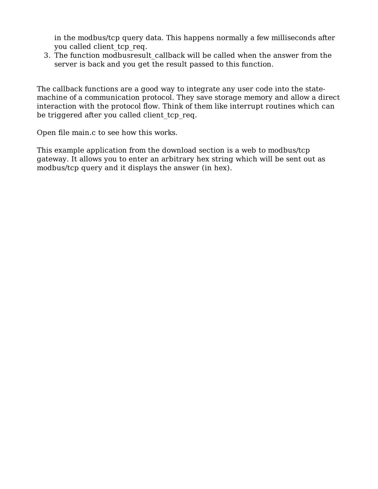in the modbus/tcp query data. This happens normally a few milliseconds after you called client\_tcp\_req.

The function modbusresult\_callback will be called when the answer from the 3. server is back and you get the result passed to this function.

The callback functions are a good way to integrate any user code into the statemachine of a communication protocol. They save storage memory and allow a direct interaction with the protocol flow. Think of them like interrupt routines which can be triggered after you called client tcp\_req.

Open file main.c to see how this works.

This example application from the download section is a web to modbus/tcp gateway. It allows you to enter an arbitrary hex string which will be sent out as modbus/tcp query and it displays the answer (in hex).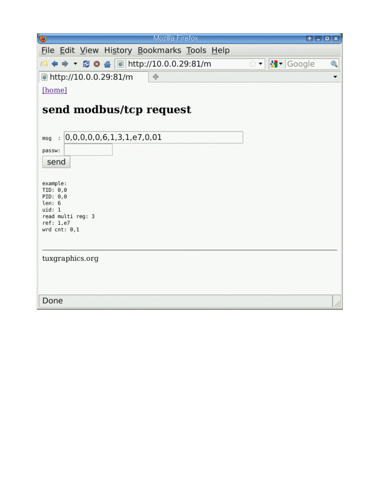| $\ddot{\mathbf{c}}$<br>Mozilla Firefox                                                                     | $A = 0$ x                                                 |
|------------------------------------------------------------------------------------------------------------|-----------------------------------------------------------|
| File Edit View History Bookmarks Tools Help                                                                |                                                           |
| $\Leftrightarrow$ $\blacktriangleright$ 2 0 4 0 http://10.0.0.29:81/m<br>Г.                                | $  \cdot  $ Google<br>Q<br>$\hat{N}$ $\blacktriangledown$ |
| ttp://10.0.0.29:81/m<br>中                                                                                  |                                                           |
| [home]                                                                                                     |                                                           |
| send modbus/tcp request                                                                                    |                                                           |
| :  0,0,0,0,0,6,1,3,1, e7,0,01<br>msq                                                                       |                                                           |
| passw:                                                                                                     |                                                           |
| send                                                                                                       |                                                           |
| example:<br>TID: 0,0<br>PID: 0,0<br>len: 6<br>uid: 1<br>read multi reg: 3<br>ref: 1,e7<br>$wrd$ $cnt: 0,1$ |                                                           |
| tuxgraphics.org                                                                                            |                                                           |
|                                                                                                            |                                                           |
|                                                                                                            |                                                           |
| Done                                                                                                       |                                                           |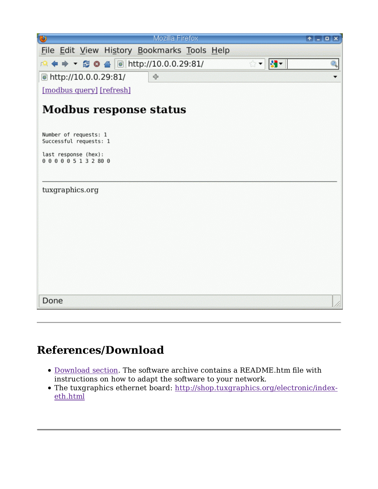| $\bullet$<br>Mozilla Firefox                                                                                                                                                                                                                                                                                                                                                                                                                       | $A = 0$ |  |  |  |  |  |  |
|----------------------------------------------------------------------------------------------------------------------------------------------------------------------------------------------------------------------------------------------------------------------------------------------------------------------------------------------------------------------------------------------------------------------------------------------------|---------|--|--|--|--|--|--|
| File Edit View History Bookmarks Tools Help                                                                                                                                                                                                                                                                                                                                                                                                        |         |  |  |  |  |  |  |
| $ 3 -  $<br>$\begin{array}{c c c c c c c c} \hline \textbf{A} & \textbf{B} & \textbf{B} & \textbf{B} & \textbf{B} \\ \hline \textbf{A} & \textbf{B} & \textbf{B} & \textbf{B} & \textbf{B} & \textbf{B} \\ \hline \textbf{A} & \textbf{B} & \textbf{B} & \textbf{B} & \textbf{B} & \textbf{B} & \textbf{B} \\ \hline \textbf{A} & \textbf{B} & \textbf{B} & \textbf{B} & \textbf{B} & \textbf{B} & \textbf{B} & \textbf{B} & \textbf{B$<br>Q<br>☆▼ |         |  |  |  |  |  |  |
| http://10.0.0.29:81/<br>+                                                                                                                                                                                                                                                                                                                                                                                                                          |         |  |  |  |  |  |  |
| [modbus query] [refresh]                                                                                                                                                                                                                                                                                                                                                                                                                           |         |  |  |  |  |  |  |
| <b>Modbus response status</b>                                                                                                                                                                                                                                                                                                                                                                                                                      |         |  |  |  |  |  |  |
| Number of requests: 1<br>Successful requests: 1                                                                                                                                                                                                                                                                                                                                                                                                    |         |  |  |  |  |  |  |
| last response (hex):<br>000005132800                                                                                                                                                                                                                                                                                                                                                                                                               |         |  |  |  |  |  |  |
| tuxgraphics.org                                                                                                                                                                                                                                                                                                                                                                                                                                    |         |  |  |  |  |  |  |
|                                                                                                                                                                                                                                                                                                                                                                                                                                                    |         |  |  |  |  |  |  |
|                                                                                                                                                                                                                                                                                                                                                                                                                                                    |         |  |  |  |  |  |  |
|                                                                                                                                                                                                                                                                                                                                                                                                                                                    |         |  |  |  |  |  |  |
|                                                                                                                                                                                                                                                                                                                                                                                                                                                    |         |  |  |  |  |  |  |
| Done                                                                                                                                                                                                                                                                                                                                                                                                                                               |         |  |  |  |  |  |  |

## **References/Download**

- Download section. The software archive contains a README.htm file with instructions on how to adapt the software to your network.
- The tuxgraphics ethernet board: http://shop.tuxgraphics.org/electronic/indexeth.html